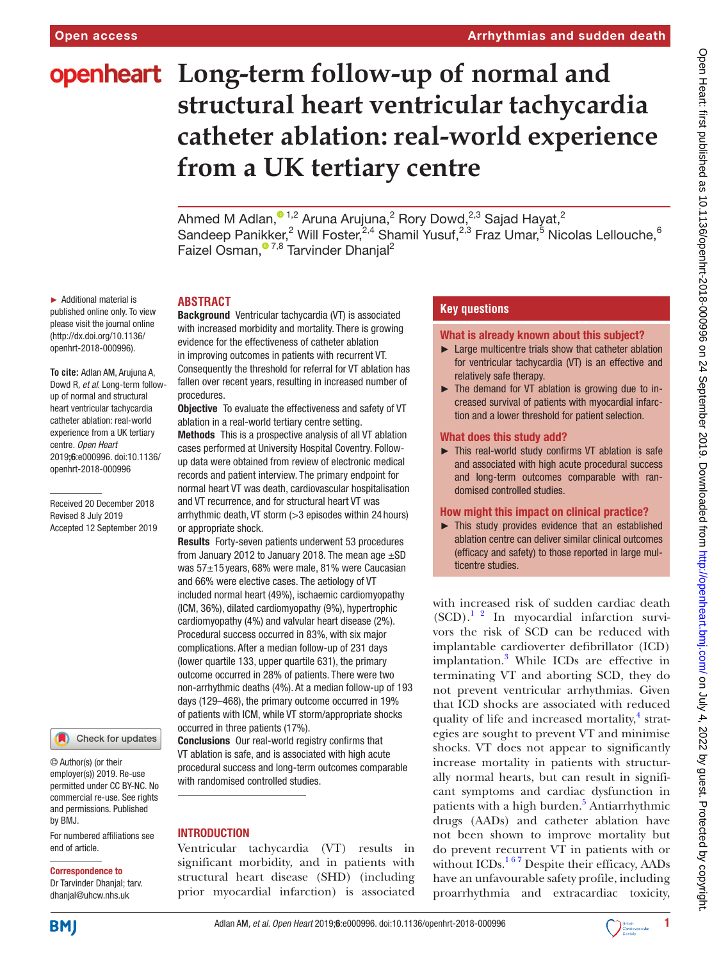# **openheart** Long-term follow-up of normal and **structural heart ventricular tachycardia catheter ablation: real-world experience from a UK tertiary centre**

Ahmed M Adlan, $^{\circ}$  1,2 Aruna Arujuna,<sup>2</sup> Rory Dowd,<sup>2,3</sup> Sajad Hayat,<sup>2</sup> Sandeep Panikker,<sup>2</sup> Will Foster,<sup>2,4</sup> Shamil Yusuf,<sup>2,3</sup> Fraz Umar,<sup>5</sup> Nicolas Lellouche,<sup>6</sup> Faizel Osman,<sup>07,8</sup> Tarvinder Dhanjal<sup>2</sup>

► Additional material is published online only. To view please visit the journal online (http://dx.doi.org/10.1136/ openhrt-2018-000996).

**To cite:** Adlan AM, Arujuna A, Dowd R*, et al*. Long-term followup of normal and structural heart ventricular tachycardia catheter ablation: real-world experience from a UK tertiary centre*. Open Heart* 2019;6:e000996. doi:10.1136/ openhrt-2018-000996

Received 20 December 2018 Revised 8 July 2019 Accepted 12 September 2019

Check for updates

© Author(s) (or their employer(s)) 2019. Re-use permitted under CC BY-NC. No commercial re-use. See rights and permissions. Published by BMJ.

For numbered affiliations see end of article.

#### Correspondence to

Dr Tarvinder Dhanjal; tarv. dhanjal@uhcw.nhs.uk

**ABSTRACT**

Background Ventricular tachycardia (VT) is associated with increased morbidity and mortality. There is growing evidence for the effectiveness of catheter ablation in improving outcomes in patients with recurrent VT. Consequently the threshold for referral for VT ablation has fallen over recent years, resulting in increased number of procedures.

**Objective** To evaluate the effectiveness and safety of VT ablation in a real-world tertiary centre setting.

Methods This is a prospective analysis of all VT ablation cases performed at University Hospital Coventry. Followup data were obtained from review of electronic medical records and patient interview. The primary endpoint for normal heart VT was death, cardiovascular hospitalisation and VT recurrence, and for structural heart VT was arrhythmic death, VT storm (>3 episodes within 24 hours) or appropriate shock.

Results Forty-seven patients underwent 53 procedures from January 2012 to January 2018. The mean age  $\pm$ SD was 57±15 years, 68% were male, 81% were Caucasian and 66% were elective cases. The aetiology of VT included normal heart (49%), ischaemic cardiomyopathy (ICM, 36%), dilated cardiomyopathy (9%), hypertrophic cardiomyopathy (4%) and valvular heart disease (2%). Procedural success occurred in 83%, with six major complications. After a median follow-up of 231 days (lower quartile 133, upper quartile 631), the primary outcome occurred in 28% of patients. There were two non-arrhythmic deaths (4%). At a median follow-up of 193 days (129–468), the primary outcome occurred in 19% of patients with ICM, while VT storm/appropriate shocks occurred in three patients (17%).

Conclusions Our real-world registry confirms that VT ablation is safe, and is associated with high acute procedural success and long-term outcomes comparable with randomised controlled studies.

## **INTRODUCTION**

Ventricular tachycardia (VT) results in significant morbidity, and in patients with structural heart disease (SHD) (including prior myocardial infarction) is associated

# **Key questions**

What is already known about this subject?

- ► Large multicentre trials show that catheter ablation for ventricular tachycardia (VT) is an effective and relatively safe therapy.
- ► The demand for VT ablation is growing due to increased survival of patients with myocardial infarction and a lower threshold for patient selection.

#### What does this study add?

► This real-world study confirms VT ablation is safe and associated with high acute procedural success and long-term outcomes comparable with randomised controlled studies.

# How might this impact on clinical practice?

► This study provides evidence that an established ablation centre can deliver similar clinical outcomes (efficacy and safety) to those reported in large multicentre studies.

with increased risk of sudden cardiac death  $(SCD)$ .<sup>1</sup> <sup>2</sup> In myocardial infarction survivors the risk of SCD can be reduced with implantable cardioverter defibrillator (ICD) implantation.<sup>[3](#page-6-0)</sup> While ICDs are effective in terminating VT and aborting SCD, they do not prevent ventricular arrhythmias. Given that ICD shocks are associated with reduced quality of life and increased mortality,<sup>[4](#page-6-1)</sup> strategies are sought to prevent VT and minimise shocks. VT does not appear to significantly increase mortality in patients with structurally normal hearts, but can result in significant symptoms and cardiac dysfunction in patients with a high burden.<sup>[5](#page-6-2)</sup> Antiarrhythmic drugs (AADs) and catheter ablation have not been shown to improve mortality but do prevent recurrent VT in patients with or without ICDs.<sup>167</sup> Despite their efficacy, AADs have an unfavourable safety profile, including proarrhythmia and extracardiac toxicity,

**BMJ** 

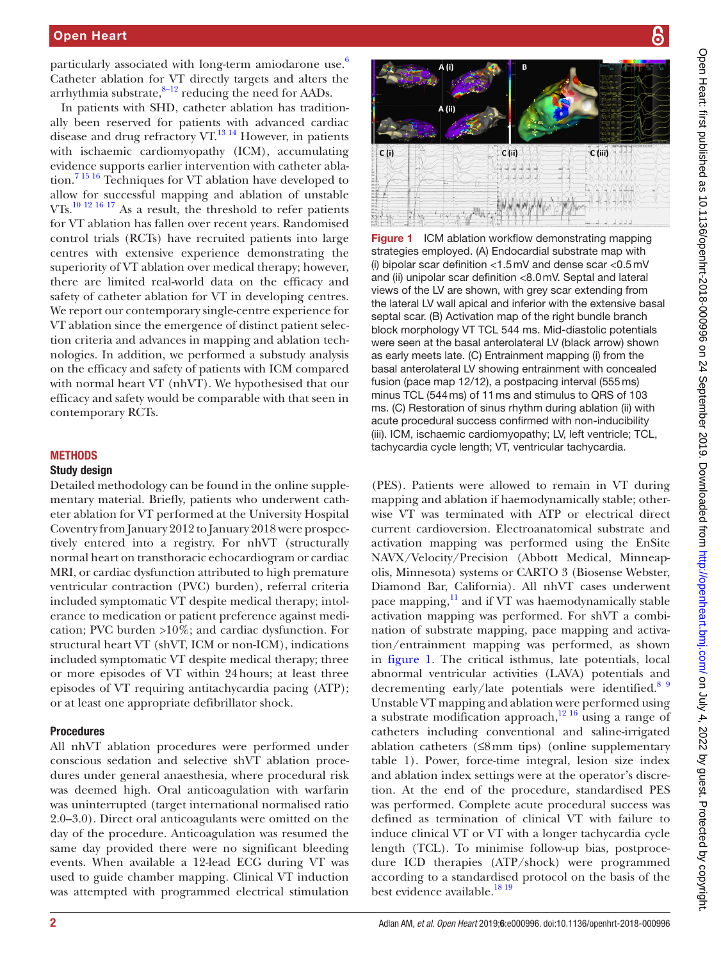particularly associated with long-term amiodarone use. $6$ Catheter ablation for VT directly targets and alters the arrhythmia substrate, $8-12$  reducing the need for AADs.

In patients with SHD, catheter ablation has traditionally been reserved for patients with advanced cardiac disease and drug refractory VT. $^{13}$  14 However, in patients with ischaemic cardiomyopathy (ICM), accumulating evidence supports earlier intervention with catheter ablation.[7 15 16](#page-6-6) Techniques for VT ablation have developed to allow for successful mapping and ablation of unstable VTs.[10 12 16 17](#page-6-7) As a result, the threshold to refer patients for VT ablation has fallen over recent years. Randomised control trials (RCTs) have recruited patients into large centres with extensive experience demonstrating the superiority of VT ablation over medical therapy; however, there are limited real-world data on the efficacy and safety of catheter ablation for VT in developing centres. We report our contemporary single-centre experience for VT ablation since the emergence of distinct patient selection criteria and advances in mapping and ablation technologies. In addition, we performed a substudy analysis on the efficacy and safety of patients with ICM compared with normal heart VT (nhVT). We hypothesised that our efficacy and safety would be comparable with that seen in contemporary RCTs.

# **METHODS**

# Study design

Detailed methodology can be found in the [online supple](https://dx.doi.org/10.1136/openhrt-2018-000996)[mentary material](https://dx.doi.org/10.1136/openhrt-2018-000996). Briefly, patients who underwent catheter ablation for VT performed at the University Hospital Coventry from January 2012 to January 2018 were prospectively entered into a registry. For nhVT (structurally normal heart on transthoracic echocardiogram or cardiac MRI, or cardiac dysfunction attributed to high premature ventricular contraction (PVC) burden), referral criteria included symptomatic VT despite medical therapy; intolerance to medication or patient preference against medication; PVC burden >10%; and cardiac dysfunction. For structural heart VT (shVT, ICM or non-ICM), indications included symptomatic VT despite medical therapy; three or more episodes of VT within 24hours; at least three episodes of VT requiring antitachycardia pacing (ATP); or at least one appropriate defibrillator shock.

## Procedures

All nhVT ablation procedures were performed under conscious sedation and selective shVT ablation procedures under general anaesthesia, where procedural risk was deemed high. Oral anticoagulation with warfarin was uninterrupted (target international normalised ratio 2.0–3.0). Direct oral anticoagulants were omitted on the day of the procedure. Anticoagulation was resumed the same day provided there were no significant bleeding events. When available a 12-lead ECG during VT was used to guide chamber mapping. Clinical VT induction was attempted with programmed electrical stimulation





<span id="page-1-0"></span>Figure 1 ICM ablation workflow demonstrating mapping strategies employed. (A) Endocardial substrate map with (i) bipolar scar definition <1.5mV and dense scar <0.5mV and (ii) unipolar scar definition <8.0mV. Septal and lateral views of the LV are shown, with grey scar extending from the lateral LV wall apical and inferior with the extensive basal septal scar. (B) Activation map of the right bundle branch block morphology VT TCL 544 ms. Mid-diastolic potentials were seen at the basal anterolateral LV (black arrow) shown as early meets late. (C) Entrainment mapping (i) from the basal anterolateral LV showing entrainment with concealed fusion (pace map 12/12), a postpacing interval (555ms) minus TCL (544ms) of 11ms and stimulus to QRS of 103 ms. (C) Restoration of sinus rhythm during ablation (ii) with acute procedural success confirmed with non-inducibility (iii). ICM, ischaemic cardiomyopathy; LV, left ventricle; TCL, tachycardia cycle length; VT, ventricular tachycardia.

(PES). Patients were allowed to remain in VT during mapping and ablation if haemodynamically stable; otherwise VT was terminated with ATP or electrical direct current cardioversion. Electroanatomical substrate and activation mapping was performed using the EnSite NAVX/Velocity/Precision (Abbott Medical, Minneapolis, Minnesota) systems or CARTO 3 (Biosense Webster, Diamond Bar, California). All nhVT cases underwent pace mapping, $11$  and if VT was haemodynamically stable activation mapping was performed. For shVT a combination of substrate mapping, pace mapping and activation/entrainment mapping was performed, as shown in [figure](#page-1-0) 1. The critical isthmus, late potentials, local abnormal ventricular activities (LAVA) potentials and decrementing early/late potentials were identified.<sup>[8 9](#page-6-4)</sup> Unstable VT mapping and ablation were performed using a substrate modification approach, $12 \times 16$  using a range of catheters including conventional and saline-irrigated ablation catheters  $(≤8mm$  tips) (online supplementary [table 1\)](https://dx.doi.org/10.1136/openhrt-2018-000996). Power, force-time integral, lesion size index and ablation index settings were at the operator's discretion. At the end of the procedure, standardised PES was performed. Complete acute procedural success was defined as termination of clinical VT with failure to induce clinical VT or VT with a longer tachycardia cycle length (TCL). To minimise follow-up bias, postprocedure ICD therapies (ATP/shock) were programmed according to a standardised protocol on the basis of the best evidence available.<sup>18 19</sup>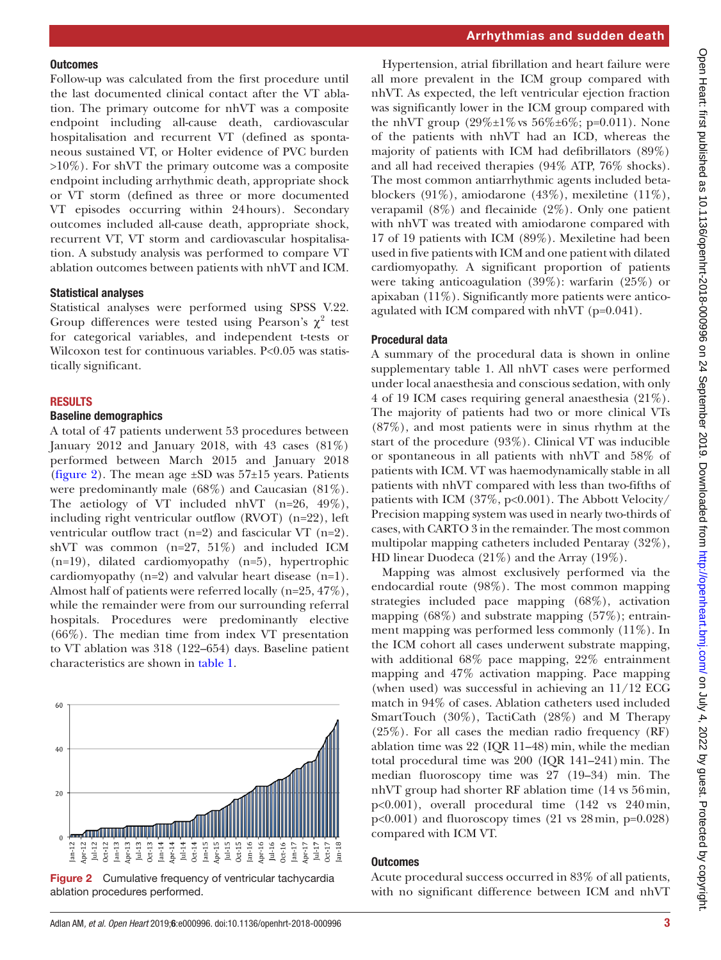#### **Outcomes**

Follow-up was calculated from the first procedure until the last documented clinical contact after the VT ablation. The primary outcome for nhVT was a composite endpoint including all-cause death, cardiovascular hospitalisation and recurrent VT (defined as spontaneous sustained VT, or Holter evidence of PVC burden >10%). For shVT the primary outcome was a composite endpoint including arrhythmic death, appropriate shock or VT storm (defined as three or more documented VT episodes occurring within 24hours). Secondary outcomes included all-cause death, appropriate shock, recurrent VT, VT storm and cardiovascular hospitalisation. A substudy analysis was performed to compare VT ablation outcomes between patients with nhVT and ICM.

#### Statistical analyses

Statistical analyses were performed using SPSS V.22. Group differences were tested using Pearson's  $\chi^2$  test for categorical variables, and independent t-tests or Wilcoxon test for continuous variables. P<0.05 was statistically significant.

#### **RESULTS**

## Baseline demographics

A total of 47 patients underwent 53 procedures between January 2012 and January 2018, with 43 cases  $(81\%)$ performed between March 2015 and January 2018 ([figure](#page-2-0) 2). The mean age  $\pm SD$  was 57 $\pm 15$  years. Patients were predominantly male (68%) and Caucasian (81%). The aetiology of VT included nhVT (n=26, 49%), including right ventricular outflow (RVOT) (n=22), left ventricular outflow tract  $(n=2)$  and fascicular VT  $(n=2)$ . shVT was common (n=27, 51%) and included ICM (n=19), dilated cardiomyopathy (n=5), hypertrophic cardiomyopathy (n=2) and valvular heart disease (n=1). Almost half of patients were referred locally (n=25, 47%), while the remainder were from our surrounding referral hospitals. Procedures were predominantly elective (66%). The median time from index VT presentation to VT ablation was 318 (122–654) days. Baseline patient characteristics are shown in [table](#page-3-0) 1.



<span id="page-2-0"></span>Figure 2 Cumulative frequency of ventricular tachycardia ablation procedures performed.

Hypertension, atrial fibrillation and heart failure were all more prevalent in the ICM group compared with nhVT. As expected, the left ventricular ejection fraction was significantly lower in the ICM group compared with the nhVT group  $(29\% \pm 1\% \text{ vs } 56\% \pm 6\% \text{; } p=0.011)$ . None of the patients with nhVT had an ICD, whereas the majority of patients with ICM had defibrillators (89%) and all had received therapies (94% ATP, 76% shocks). The most common antiarrhythmic agents included betablockers (91%), amiodarone (43%), mexiletine (11%), verapamil  $(8\%)$  and flecainide  $(2\%)$ . Only one patient with nhVT was treated with amiodarone compared with 17 of 19 patients with ICM (89%). Mexiletine had been used in five patients with ICM and one patient with dilated cardiomyopathy. A significant proportion of patients were taking anticoagulation (39%): warfarin (25%) or apixaban (11%). Significantly more patients were anticoagulated with ICM compared with nhVT (p=0.041).

## Procedural data

A summary of the procedural data is shown in [online](https://dx.doi.org/10.1136/openhrt-2018-000996)  [supplementary table 1.](https://dx.doi.org/10.1136/openhrt-2018-000996) All nhVT cases were performed under local anaesthesia and conscious sedation, with only 4 of 19 ICM cases requiring general anaesthesia (21%). The majority of patients had two or more clinical VTs (87%), and most patients were in sinus rhythm at the start of the procedure (93%). Clinical VT was inducible or spontaneous in all patients with nhVT and 58% of patients with ICM. VT was haemodynamically stable in all patients with nhVT compared with less than two-fifths of patients with ICM (37%, p<0.001). The Abbott Velocity/ Precision mapping system was used in nearly two-thirds of cases, with CARTO 3 in the remainder. The most common multipolar mapping catheters included Pentaray (32%), HD linear Duodeca (21%) and the Array (19%).

Mapping was almost exclusively performed via the endocardial route (98%). The most common mapping strategies included pace mapping (68%), activation mapping (68%) and substrate mapping (57%); entrainment mapping was performed less commonly (11%). In the ICM cohort all cases underwent substrate mapping, with additional 68% pace mapping, 22% entrainment mapping and 47% activation mapping. Pace mapping (when used) was successful in achieving an 11/12 ECG match in 94% of cases. Ablation catheters used included SmartTouch (30%), TactiCath (28%) and M Therapy (25%). For all cases the median radio frequency (RF) ablation time was  $22$  (IQR 11–48) min, while the median total procedural time was  $200$  (IQR 141-241) min. The median fluoroscopy time was 27 (19–34) min. The nhVT group had shorter RF ablation time (14 vs 56min, p<0.001), overall procedural time (142 vs 240min,  $p<0.001$ ) and fluoroscopy times (21 vs 28 min,  $p=0.028$ ) compared with ICM VT.

## **Outcomes**

Acute procedural success occurred in 83% of all patients, with no significant difference between ICM and nhVT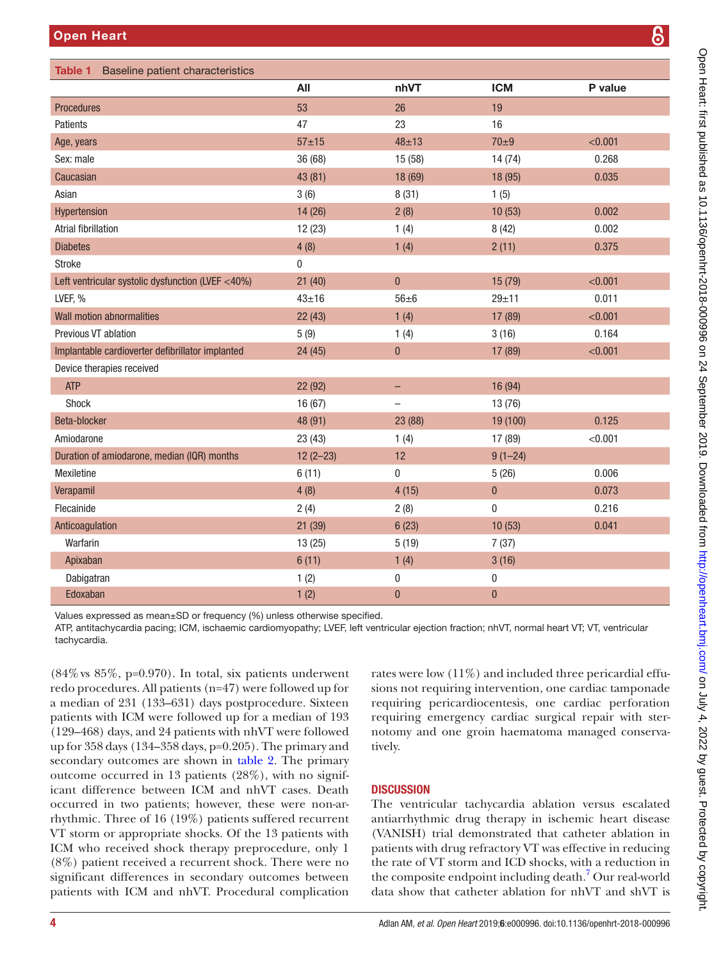<span id="page-3-0"></span>

| <b>Open Heart</b>                                 |              |              |            | ၆       |
|---------------------------------------------------|--------------|--------------|------------|---------|
|                                                   |              |              |            |         |
| Baseline patient characteristics<br>Table 1       |              |              |            |         |
|                                                   | All          | nhVT         | <b>ICM</b> | P value |
| <b>Procedures</b>                                 | 53           | 26           | 19         |         |
| Patients                                          | 47           | 23           | 16         |         |
| Age, years                                        | $57 + 15$    | $48 + 13$    | $70\pm9$   | < 0.001 |
| Sex: male                                         | 36 (68)      | 15 (58)      | 14 (74)    | 0.268   |
| Caucasian                                         | 43 (81)      | 18 (69)      | 18 (95)    | 0.035   |
| Asian                                             | 3(6)         | 8(31)        | 1(5)       |         |
| Hypertension                                      | 14 (26)      | 2(8)         | 10(53)     | 0.002   |
| <b>Atrial fibrillation</b>                        | 12(23)       | 1(4)         | 8(42)      | 0.002   |
| <b>Diabetes</b>                                   | 4(8)         | 1(4)         | 2(11)      | 0.375   |
| <b>Stroke</b>                                     | 0            |              |            |         |
| Left ventricular systolic dysfunction (LVEF <40%) | 21(40)       | $\mathbf{0}$ | 15 (79)    | < 0.001 |
| LVEF, %                                           | $43 + 16$    | $56\pm 6$    | $29 + 11$  | 0.011   |
| Wall motion abnormalities                         | 22(43)       | 1(4)         | 17 (89)    | < 0.001 |
| <b>Previous VT ablation</b>                       | 5(9)         | 1(4)         | 3(16)      | 0.164   |
| Implantable cardioverter defibrillator implanted  | 24 (45)      | $\pmb{0}$    | 17 (89)    | < 0.001 |
| Device therapies received                         |              |              |            |         |
| <b>ATP</b>                                        | 22 (92)      | -            | 16 (94)    |         |
| Shock                                             | 16(67)       |              | 13 (76)    |         |
| Beta-blocker                                      | 48 (91)      | 23 (88)      | 19 (100)   | 0.125   |
| Amiodarone                                        | 23(43)       | 1(4)         | 17 (89)    | < 0.001 |
| Duration of amiodarone, median (IQR) months       | $12(2 - 23)$ | 12           | $9(1-24)$  |         |
| Mexiletine                                        | 6(11)        | $\bf{0}$     | 5(26)      | 0.006   |

Values expressed as mean±SD or frequency (%) unless otherwise specified.

ATP, antitachycardia pacing; ICM, ischaemic cardiomyopathy; LVEF, left ventricular ejection fraction; nhVT, normal heart VT; VT, ventricular tachycardia.

Verapamil 4 (8) 4 (15) 0 0.073 Flecainide 2 (4) 2 (8) 0 0.216 Anticoagulation 21 (39) 6 (23) 10 (53) 0.041

Warfarin 13 (25) 5 (19) 7 (37) Apixaban 6 (11) 1 (4) 3 (16) Dabigatran 1 (2) 0 0 Edoxaban 1 (2) 0 0

 $(84\% \text{ vs } 85\%, \text{ p=0.970}).$  In total, six patients underwent redo procedures. All patients (n=47) were followed up for a median of 231 (133–631) days postprocedure. Sixteen patients with ICM were followed up for a median of 193 (129–468) days, and 24 patients with nhVT were followed up for 358 days (134–358 days, p=0.205). The primary and secondary outcomes are shown in [table](#page-4-0) 2. The primary outcome occurred in 13 patients (28%), with no significant difference between ICM and nhVT cases. Death occurred in two patients; however, these were non-arrhythmic. Three of 16 (19%) patients suffered recurrent VT storm or appropriate shocks. Of the 13 patients with ICM who received shock therapy preprocedure, only 1 (8%) patient received a recurrent shock. There were no significant differences in secondary outcomes between patients with ICM and nhVT. Procedural complication

rates were low (11%) and included three pericardial effusions not requiring intervention, one cardiac tamponade requiring pericardiocentesis, one cardiac perforation requiring emergency cardiac surgical repair with sternotomy and one groin haematoma managed conservatively.

# **DISCUSSION**

The ventricular tachycardia ablation versus escalated antiarrhythmic drug therapy in ischemic heart disease (VANISH) trial demonstrated that catheter ablation in patients with drug refractory VT was effective in reducing the rate of VT storm and ICD shocks, with a reduction in the composite endpoint including death.<sup>7</sup> Our real-world data show that catheter ablation for nhVT and shVT is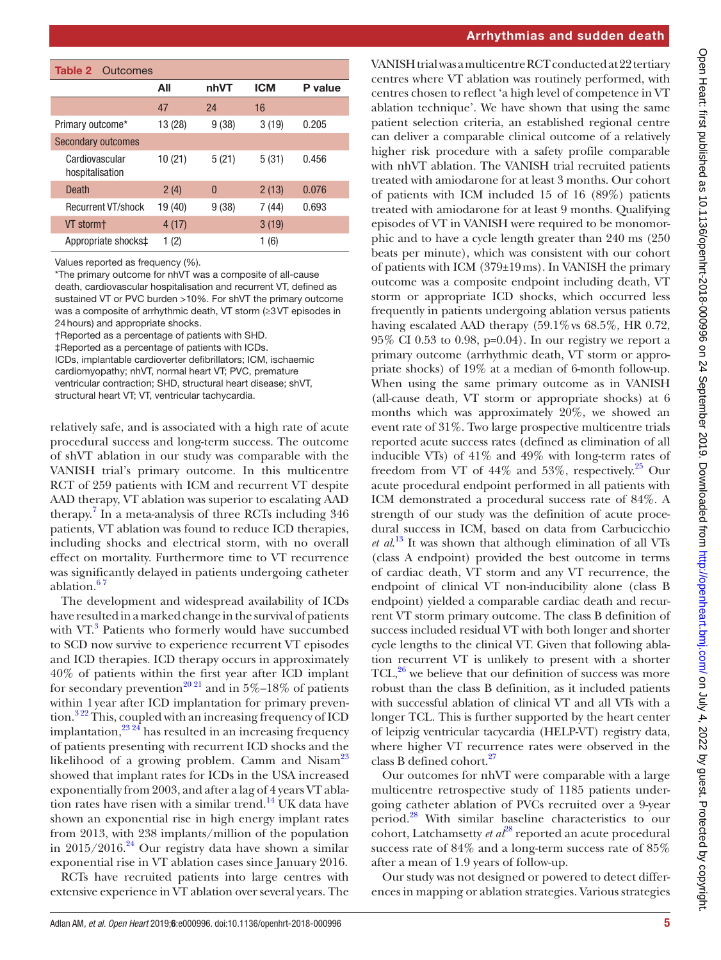<span id="page-4-0"></span>

| <b>Table 2</b> Outcomes           |         |          |            |         |  |  |
|-----------------------------------|---------|----------|------------|---------|--|--|
|                                   | All     | nhVT     | <b>ICM</b> | P value |  |  |
|                                   | 47      | 24       | 16         |         |  |  |
| Primary outcome*                  | 13 (28) | 9(38)    | 3(19)      | 0.205   |  |  |
| <b>Secondary outcomes</b>         |         |          |            |         |  |  |
| Cardiovascular<br>hospitalisation | 10(21)  | 5(21)    | 5(31)      | 0.456   |  |  |
| Death                             | 2(4)    | $\Omega$ | 2(13)      | 0.076   |  |  |
| <b>Recurrent VT/shock</b>         | 19 (40) | 9(38)    | 7 (44)     | 0.693   |  |  |
| VT storm+                         | 4(17)   |          | 3(19)      |         |  |  |
| Appropriate shocks‡               | (2)     |          | (6)<br>1   |         |  |  |

Values reported as frequency (%).

\*The primary outcome for nhVT was a composite of all-cause death, cardiovascular hospitalisation and recurrent VT, defined as sustained VT or PVC burden >10%. For shVT the primary outcome was a composite of arrhythmic death, VT storm (≥3VT episodes in 24hours) and appropriate shocks.

†Reported as a percentage of patients with SHD.

‡Reported as a percentage of patients with ICDs.

ICDs, implantable cardioverter defibrillators; ICM, ischaemic

cardiomyopathy; nhVT, normal heart VT; PVC, premature

ventricular contraction; SHD, structural heart disease; shVT,

structural heart VT; VT, ventricular tachycardia.

relatively safe, and is associated with a high rate of acute procedural success and long-term success. The outcome of shVT ablation in our study was comparable with the VANISH trial's primary outcome. In this multicentre RCT of 259 patients with ICM and recurrent VT despite AAD therapy, VT ablation was superior to escalating AAD therapy.<sup>7</sup> In a meta-analysis of three RCTs including 346 patients, VT ablation was found to reduce ICD therapies, including shocks and electrical storm, with no overall effect on mortality. Furthermore time to VT recurrence was significantly delayed in patients undergoing catheter ablation.<sup>67</sup>

The development and widespread availability of ICDs have resulted in a marked change in the survival of patients with VT.<sup>[3](#page-6-0)</sup> Patients who formerly would have succumbed to SCD now survive to experience recurrent VT episodes and ICD therapies. ICD therapy occurs in approximately 40% of patients within the first year after ICD implant for secondary prevention<sup>[20 21](#page-6-11)</sup> and in 5%–18% of patients within 1year after ICD implantation for primary prevention.<sup>322</sup> This, coupled with an increasing frequency of ICD implantation,  $^{23.24}$  has resulted in an increasing frequency of patients presenting with recurrent ICD shocks and the likelihood of a growing problem. Camm and Nisam<sup>23</sup> showed that implant rates for ICDs in the USA increased exponentially from 2003, and after a lag of 4 years VT ablation rates have risen with a similar trend.<sup>14</sup> UK data have shown an exponential rise in high energy implant rates from 2013, with 238 implants/million of the population in  $2015/2016.^{24}$  Our registry data have shown a similar exponential rise in VT ablation cases since January 2016.

RCTs have recruited patients into large centres with extensive experience in VT ablation over several years. The

#### Arrhythmias and sudden death

VANISH trial was a multicentre RCT conducted at 22 tertiary centres where VT ablation was routinely performed, with centres chosen to reflect 'a high level of competence in VT ablation technique'. We have shown that using the same patient selection criteria, an established regional centre can deliver a comparable clinical outcome of a relatively higher risk procedure with a safety profile comparable with nhVT ablation. The VANISH trial recruited patients treated with amiodarone for at least 3 months. Our cohort of patients with ICM included 15 of 16 (89%) patients treated with amiodarone for at least 9 months. Qualifying episodes of VT in VANISH were required to be monomorphic and to have a cycle length greater than 240 ms (250 beats per minute), which was consistent with our cohort of patients with ICM (379±19ms). In VANISH the primary outcome was a composite endpoint including death, VT storm or appropriate ICD shocks, which occurred less frequently in patients undergoing ablation versus patients having escalated AAD therapy  $(59.1\% \text{ vs } 68.5\%, \text{ HR } 0.72,$ 95% CI 0.53 to 0.98, p=0.04). In our registry we report a primary outcome (arrhythmic death, VT storm or appropriate shocks) of 19% at a median of 6-month follow-up. When using the same primary outcome as in VANISH (all-cause death, VT storm or appropriate shocks) at 6 months which was approximately 20%, we showed an event rate of 31%. Two large prospective multicentre trials reported acute success rates (defined as elimination of all inducible VTs) of 41% and 49% with long-term rates of freedom from VT of  $44\%$  and  $53\%$ , respectively.<sup>25</sup> Our acute procedural endpoint performed in all patients with ICM demonstrated a procedural success rate of 84%. A strength of our study was the definition of acute procedural success in ICM, based on data from Carbucicchio *et al*. [13](#page-6-5) It was shown that although elimination of all VTs (class A endpoint) provided the best outcome in terms of cardiac death, VT storm and any VT recurrence, the endpoint of clinical VT non-inducibility alone (class B endpoint) yielded a comparable cardiac death and recurrent VT storm primary outcome. The class B definition of success included residual VT with both longer and shorter cycle lengths to the clinical VT. Given that following ablation recurrent VT is unlikely to present with a shorter TCL, $^{26}$  $^{26}$  $^{26}$  we believe that our definition of success was more robust than the class B definition, as it included patients with successful ablation of clinical VT and all VTs with a longer TCL. This is further supported by the heart center of leipzig ventricular tacycardia (HELP-VT) registry data, where higher VT recurrence rates were observed in the class B defined cohort.<sup>27</sup>

Our outcomes for nhVT were comparable with a large multicentre retrospective study of 1185 patients undergoing catheter ablation of PVCs recruited over a 9-year period[.28](#page-6-18) With similar baseline characteristics to our cohort, Latchamsetty *et al*<sup>28</sup> reported an acute procedural success rate of 84% and a long-term success rate of 85% after a mean of 1.9 years of follow-up.

Our study was not designed or powered to detect differences in mapping or ablation strategies. Various strategies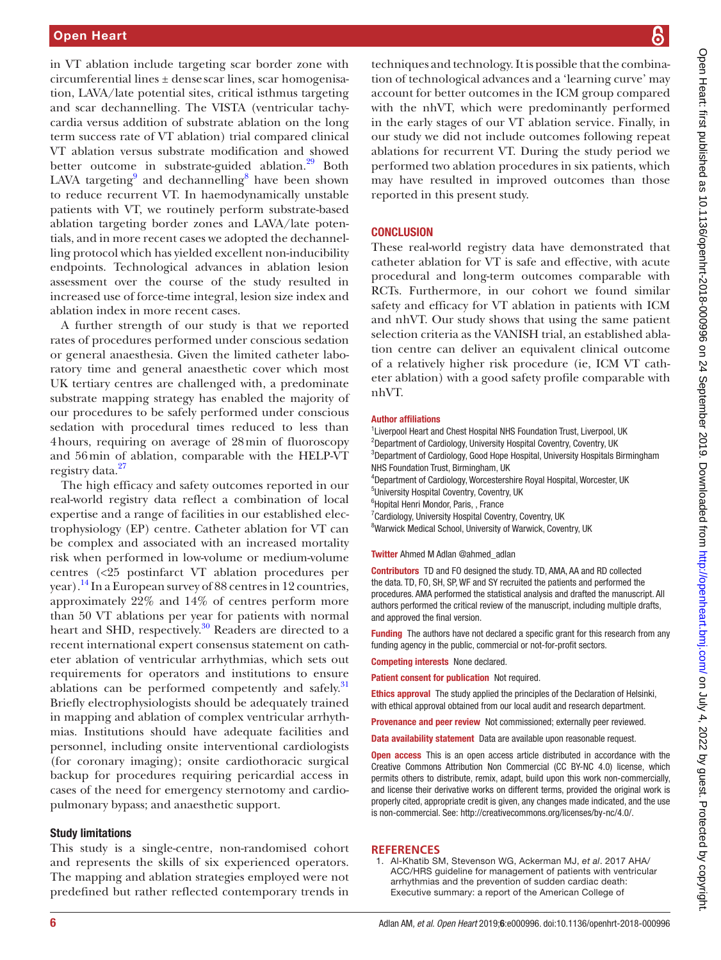in VT ablation include targeting scar border zone with  $circumferential lines  $±$  dense scar lines, scar homogeneous$ tion, LAVA/late potential sites, critical isthmus targeting and scar dechannelling. The VISTA (ventricular tachycardia versus addition of substrate ablation on the long term success rate of VT ablation) trial compared clinical VT ablation versus substrate modification and showed better outcome in substrate-guided ablation.<sup>29</sup> Both LAVA targeting<sup>9</sup> and dechannelling<sup>8</sup> have been shown to reduce recurrent VT. In haemodynamically unstable patients with VT, we routinely perform substrate-based ablation targeting border zones and LAVA/late potentials, and in more recent cases we adopted the dechannelling protocol which has yielded excellent non-inducibility endpoints. Technological advances in ablation lesion assessment over the course of the study resulted in increased use of force-time integral, lesion size index and ablation index in more recent cases.

A further strength of our study is that we reported rates of procedures performed under conscious sedation or general anaesthesia. Given the limited catheter laboratory time and general anaesthetic cover which most UK tertiary centres are challenged with, a predominate substrate mapping strategy has enabled the majority of our procedures to be safely performed under conscious sedation with procedural times reduced to less than 4hours, requiring on average of 28min of fluoroscopy and 56min of ablation, comparable with the HELP-VT registry data.<sup>[27](#page-6-17)</sup>

The high efficacy and safety outcomes reported in our real-world registry data reflect a combination of local expertise and a range of facilities in our established electrophysiology (EP) centre. Catheter ablation for VT can be complex and associated with an increased mortality risk when performed in low-volume or medium-volume centres (<25 postinfarct VT ablation procedures per year).<sup>14</sup> In a European survey of 88 centres in 12 countries, approximately 22% and 14% of centres perform more than 50 VT ablations per year for patients with normal heart and SHD, respectively.<sup>[30](#page-6-21)</sup> Readers are directed to a recent international expert consensus statement on catheter ablation of ventricular arrhythmias, which sets out requirements for operators and institutions to ensure ablations can be performed competently and safely.<sup>[31](#page-6-22)</sup> Briefly electrophysiologists should be adequately trained in mapping and ablation of complex ventricular arrhythmias. Institutions should have adequate facilities and personnel, including onsite interventional cardiologists (for coronary imaging); onsite cardiothoracic surgical backup for procedures requiring pericardial access in cases of the need for emergency sternotomy and cardiopulmonary bypass; and anaesthetic support.

## Study limitations

This study is a single-centre, non-randomised cohort and represents the skills of six experienced operators. The mapping and ablation strategies employed were not predefined but rather reflected contemporary trends in

techniques and technology. It is possible that the combination of technological advances and a 'learning curve' may account for better outcomes in the ICM group compared with the nhVT, which were predominantly performed in the early stages of our VT ablation service. Finally, in our study we did not include outcomes following repeat ablations for recurrent VT. During the study period we performed two ablation procedures in six patients, which may have resulted in improved outcomes than those reported in this present study.

# **CONCLUSION**

These real-world registry data have demonstrated that catheter ablation for VT is safe and effective, with acute procedural and long-term outcomes comparable with RCTs. Furthermore, in our cohort we found similar safety and efficacy for VT ablation in patients with ICM and nhVT. Our study shows that using the same patient selection criteria as the VANISH trial, an established ablation centre can deliver an equivalent clinical outcome of a relatively higher risk procedure (ie, ICM VT catheter ablation) with a good safety profile comparable with nhVT.

#### Author affiliations

<sup>1</sup> Liverpool Heart and Chest Hospital NHS Foundation Trust, Liverpool, UK <sup>2</sup>Department of Cardiology, University Hospital Coventry, Coventry, UK <sup>3</sup>Department of Cardiology, Good Hope Hospital, University Hospitals Birmingham NHS Foundation Trust, Birmingham, UK 4 Department of Cardiology, Worcestershire Royal Hospital, Worcester, UK 5 University Hospital Coventry, Coventry, UK 6 Hopital Henri Mondor, Paris, , France <sup>7</sup> Cardiology, University Hospital Coventry, Coventry, UK <sup>8</sup>Warwick Medical School, University of Warwick, Coventry, UK

#### Twitter Ahmed M Adlan [@ahmed\\_adlan](https://twitter.com/ahmed_adlan)

Contributors TD and FO designed the study. TD, AMA, AA and RD collected the data. TD, FO, SH, SP, WF and SY recruited the patients and performed the procedures. AMA performed the statistical analysis and drafted the manuscript. All authors performed the critical review of the manuscript, including multiple drafts, and approved the final version.

Funding The authors have not declared a specific grant for this research from any funding agency in the public, commercial or not-for-profit sectors.

Competing interests None declared.

Patient consent for publication Not required.

Ethics approval The study applied the principles of the Declaration of Helsinki, with ethical approval obtained from our local audit and research department.

Provenance and peer review Not commissioned; externally peer reviewed.

Data availability statement Data are available upon reasonable request.

Open access This is an open access article distributed in accordance with the Creative Commons Attribution Non Commercial (CC BY-NC 4.0) license, which permits others to distribute, remix, adapt, build upon this work non-commercially, and license their derivative works on different terms, provided the original work is properly cited, appropriate credit is given, any changes made indicated, and the use is non-commercial. See: [http://creativecommons.org/licenses/by-nc/4.0/.](http://creativecommons.org/licenses/by-nc/4.0/)

## **References**

<span id="page-5-0"></span>1. Al-Khatib SM, Stevenson WG, Ackerman MJ, *et al*. 2017 AHA/ ACC/HRS guideline for management of patients with ventricular arrhythmias and the prevention of sudden cardiac death: Executive summary: a report of the American College of